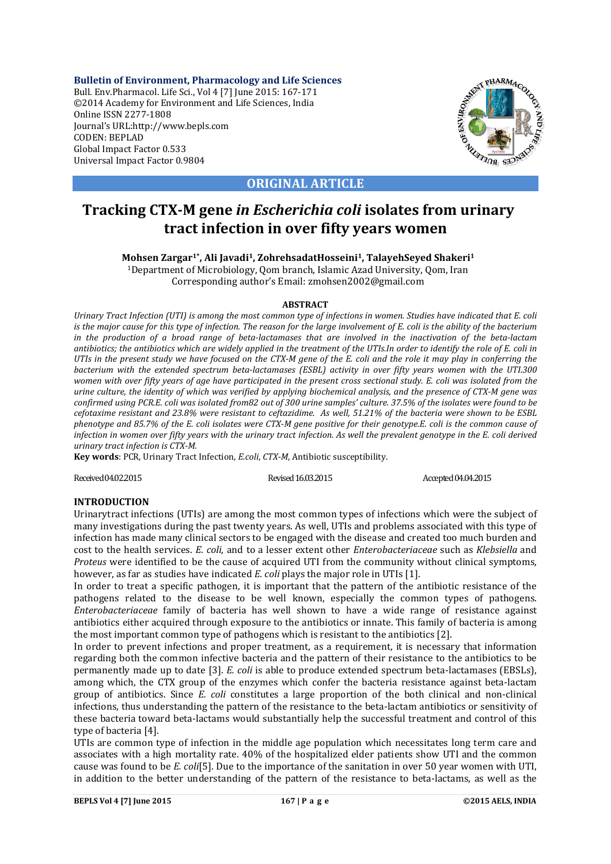**Bulletin of Environment, Pharmacology and Life Sciences** Bull. Env.Pharmacol. Life Sci., Vol 4 [7] June 2015: 167-171 ©2014 Academy for Environment and Life Sciences, India Online ISSN 2277-1808 Journal's URL:http://www.bepls.com CODEN: BEPLAD Global Impact Factor 0.533 Universal Impact Factor 0.9804



**ORIGINAL ARTICLE**

# **Tracking CTX-M gene** *in Escherichia coli* **isolates from urinary tract infection in over fifty years women**

**Mohsen Zargar1\*, Ali Javadi1, ZohrehsadatHosseini1, TalayehSeyed Shakeri1**

1Department of Microbiology, Qom branch, Islamic Azad University, Qom, Iran Corresponding author's Email: zmohsen2002@gmail.com

## **ABSTRACT**

*Urinary Tract Infection (UTI) is among the most common type of infections in women. Studies have indicated that E. coli is the major cause for this type of infection. The reason for the large involvement of E. coli is the ability of the bacterium in the production of a broad range of beta-lactamases that are involved in the inactivation of the beta-lactam antibiotics; the antibiotics which are widely applied in the treatment of the UTIs.In order to identify the role of E. coli in UTIs in the present study we have focused on the CTX-M gene of the E. coli and the role it may play in conferring the bacterium with the extended spectrum beta-lactamases (ESBL) activity in over fifty years women with the UTI.300 women with over fifty years of age have participated in the present cross sectional study. E. coli was isolated from the urine culture, the identity of which was verified by applying biochemical analysis, and the presence of CTX-M gene was confirmed using PCR.E. coli was isolated from82 out of 300 urine samples' culture. 37.5% of the isolates were found to be cefotaxime resistant and 23.8% were resistant to ceftazidime. As well, 51.21% of the bacteria were shown to be ESBL phenotype and 85.7% of the E. coli isolates were CTX-M gene positive for their genotype.E. coli is the common cause of infection in women over fifty years with the urinary tract infection. As well the prevalent genotype in the E. coli derived urinary tract infection is CTX-M.*

**Key words**: PCR, Urinary Tract Infection, *E.coli*, *CTX-M*, Antibiotic susceptibility.

Received 04.02.2015 **Revised 16.03.2015** Revised 16.03.2015 **Accepted 04.04.2015** 

# **INTRODUCTION**

Urinarytract infections (UTIs) are among the most common types of infections which were the subject of many investigations during the past twenty years. As well, UTIs and problems associated with this type of infection has made many clinical sectors to be engaged with the disease and created too much burden and cost to the health services. *E. coli*, and to a lesser extent other *Enterobacteriaceae* such as *Klebsiella* and *Proteus* were identified to be the cause of acquired UTI from the community without clinical symptoms, however, as far as studies have indicated *E. coli* plays the major role in UTIs [1].

In order to treat a specific pathogen, it is important that the pattern of the antibiotic resistance of the pathogens related to the disease to be well known, especially the common types of pathogens. *Enterobacteriaceae* family of bacteria has well shown to have a wide range of resistance against antibiotics either acquired through exposure to the antibiotics or innate. This family of bacteria is among the most important common type of pathogens which is resistant to the antibiotics [2].

In order to prevent infections and proper treatment, as a requirement, it is necessary that information regarding both the common infective bacteria and the pattern of their resistance to the antibiotics to be permanently made up to date [3]. *E. coli* is able to produce extended spectrum beta-lactamases (EBSLs), among which, the CTX group of the enzymes which confer the bacteria resistance against beta-lactam group of antibiotics. Since *E. coli* constitutes a large proportion of the both clinical and non-clinical infections, thus understanding the pattern of the resistance to the beta-lactam antibiotics or sensitivity of these bacteria toward beta-lactams would substantially help the successful treatment and control of this type of bacteria [4].

UTIs are common type of infection in the middle age population which necessitates long term care and associates with a high mortality rate. 40% of the hospitalized elder patients show UTI and the common cause was found to be *E. coli*[5]. Due to the importance of the sanitation in over 50 year women with UTI, in addition to the better understanding of the pattern of the resistance to beta-lactams, as well as the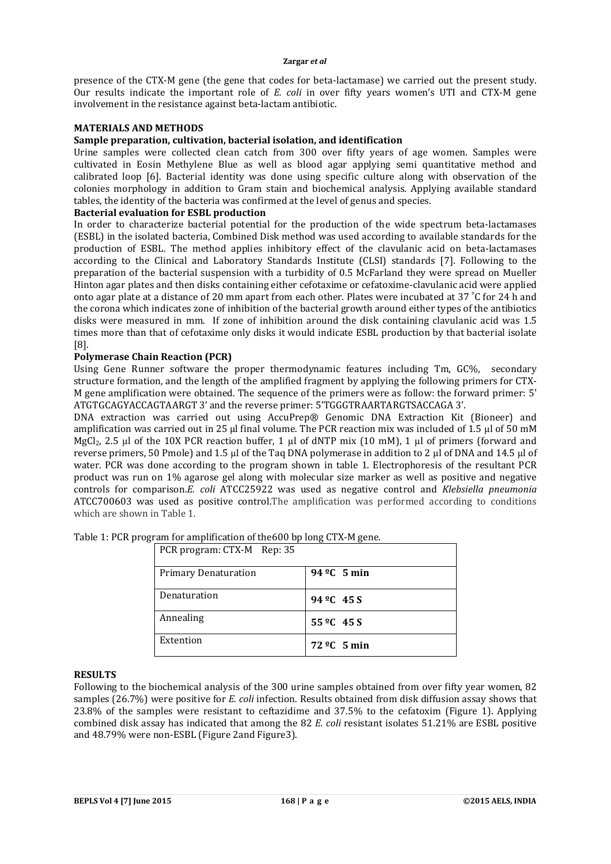#### **Zargar** *et al*

presence of the CTX-M gene (the gene that codes for beta-lactamase) we carried out the present study. Our results indicate the important role of *E. coli* in over fifty years women's UTI and CTX-M gene involvement in the resistance against beta-lactam antibiotic.

## **MATERIALS AND METHODS**

# **Sample preparation, cultivation, bacterial isolation, and identification**

Urine samples were collected clean catch from 300 over fifty years of age women. Samples were cultivated in Eosin Methylene Blue as well as blood agar applying semi quantitative method and calibrated loop [6]. Bacterial identity was done using specific culture along with observation of the colonies morphology in addition to Gram stain and biochemical analysis. Applying available standard tables, the identity of the bacteria was confirmed at the level of genus and species.

### **Bacterial evaluation for ESBL production**

In order to characterize bacterial potential for the production of the wide spectrum beta-lactamases (ESBL) in the isolated bacteria, Combined Disk method was used according to available standards for the production of ESBL. The method applies inhibitory effect of the clavulanic acid on beta-lactamases according to the Clinical and Laboratory Standards Institute (CLSI) standards [7]. Following to the preparation of the bacterial suspension with a turbidity of 0.5 McFarland they were spread on Mueller Hinton agar plates and then disks containing either cefotaxime or cefatoxime-clavulanic acid were applied onto agar plate at a distance of 20 mm apart from each other. Plates were incubated at 37 °C for 24 h and the corona which indicates zone of inhibition of the bacterial growth around either types of the antibiotics disks were measured in mm. If zone of inhibition around the disk containing clavulanic acid was 1.5 times more than that of cefotaxime only disks it would indicate ESBL production by that bacterial isolate [8].

## **Polymerase Chain Reaction (PCR)**

Using Gene Runner software the proper thermodynamic features including Tm, GC%, secondary structure formation, and the length of the amplified fragment by applying the following primers for CTX-M gene amplification were obtained. The sequence of the primers were as follow: the forward primer: 5' ATGTGCAGYACCAGTAARGT 3' and the reverse primer: 5'TGGGTRAARTARGTSACCAGA 3'.

DNA extraction was carried out using AccuPrep® Genomic DNA Extraction Kit (Bioneer) and amplification was carried out in 25 µl final volume. The PCR reaction mix was included of 1.5 µl of 50 mM MgCl<sub>2</sub>, 2.5 µl of the 10X PCR reaction buffer, 1 µl of dNTP mix (10 mM), 1 µl of primers (forward and reverse primers, 50 Pmole) and 1.5 µl of the Taq DNA polymerase in addition to 2 µl of DNA and 14.5 µl of water. PCR was done according to the program shown in table 1. Electrophoresis of the resultant PCR product was run on 1% agarose gel along with molecular size marker as well as positive and negative controls for comparison.*E. coli* ATCC25922 was used as negative control and *Klebsiella pneumonia*  ATCC700603 was used as positive control.The amplification was performed according to conditions which are shown in Table 1.

| PCR program: CTX-M Rep: 35  |                                 |
|-----------------------------|---------------------------------|
| <b>Primary Denaturation</b> | 94 $\degree$ C 5 min            |
| Denaturation                | $94 \, {}^{\circ}\text{C}$ 45 S |
| Annealing                   | $55^{\circ}$ C 45 S             |
| Extention                   | $72 \text{ }^{\circ}C$ 5 min    |

Table 1: PCR program for amplification of the600 bp long CTX-M gene.

#### **RESULTS**

Following to the biochemical analysis of the 300 urine samples obtained from over fifty year women, 82 samples (26.7%) were positive for *E. coli* infection. Results obtained from disk diffusion assay shows that 23.8% of the samples were resistant to ceftazidime and 37.5% to the cefatoxim (Figure 1). Applying combined disk assay has indicated that among the 82 *E. coli* resistant isolates 51.21% are ESBL positive and 48.79% were non-ESBL (Figure 2and Figure3).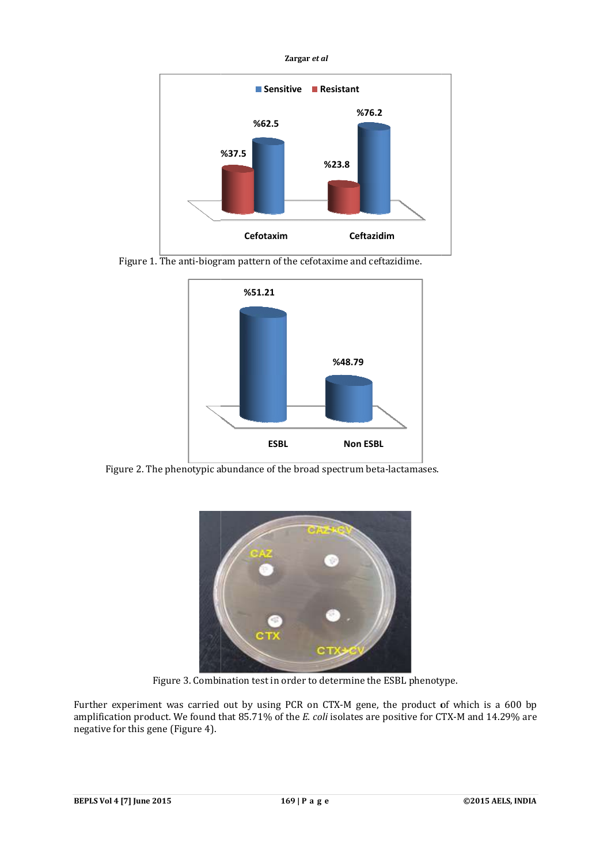



Figure 1. The anti-biogram pattern of the cefotaxime and ceftazidime.



Figure 2. The phenotypic abundance of the broad spectrum beta-lactamases.



Figure 3. Combination test in order to determine the ESBL phenotype.

Further experiment was carried out by using PCR on CTX-M gene, the product of which is a 600 bp Figure 3. Combination test in order to determine the ESBL phenotype.<br>Further experiment was carried out by using PCR on CTX-M gene, the product of which is a 600 bp<br>amplification product. We found that 85.71% of the *E. co* negative for this gene (Figure 4).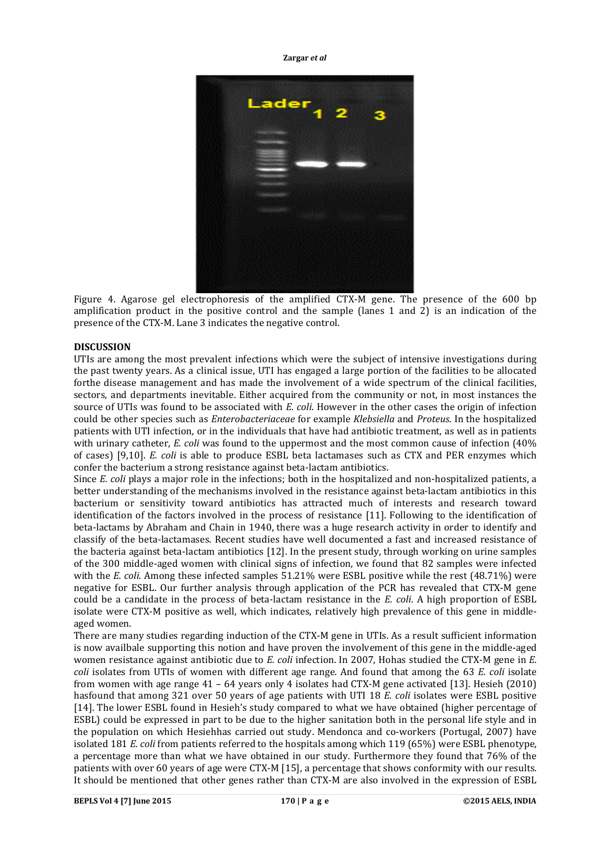**Zargar** *et al*



Figure 4. Agarose gel electrophoresis of the amplified CTX-M gene. The presence of the 600 bp amplification product in the positive control and the sample (lanes 1 and 2) is an indication of the presence of the CTX-M. Lane 3 indicates the negative control.

# **DISCUSSION**

UTIs are among the most prevalent infections which were the subject of intensive investigations during the past twenty years. As a clinical issue, UTI has engaged a large portion of the facilities to be allocated forthe disease management and has made the involvement of a wide spectrum of the clinical facilities, sectors, and departments inevitable. Either acquired from the community or not, in most instances the source of UTIs was found to be associated with *E. coli*. However in the other cases the origin of infection could be other species such as *Enterobacteriaceae* for example *Klebsiella* and *Proteus*. In the hospitalized patients with UTI infection, or in the individuals that have had antibiotic treatment, as well as in patients with urinary catheter, *E. coli* was found to the uppermost and the most common cause of infection (40% of cases) [9,10]. *E. coli* is able to produce ESBL beta lactamases such as CTX and PER enzymes which confer the bacterium a strong resistance against beta-lactam antibiotics.

Since *E. coli* plays a major role in the infections; both in the hospitalized and non-hospitalized patients, a better understanding of the mechanisms involved in the resistance against beta-lactam antibiotics in this bacterium or sensitivity toward antibiotics has attracted much of interests and research toward identification of the factors involved in the process of resistance [11]. Following to the identification of beta-lactams by Abraham and Chain in 1940, there was a huge research activity in order to identify and classify of the beta-lactamases. Recent studies have well documented a fast and increased resistance of the bacteria against beta-lactam antibiotics [12]. In the present study, through working on urine samples of the 300 middle-aged women with clinical signs of infection, we found that 82 samples were infected with the *E. coli*. Among these infected samples 51.21% were ESBL positive while the rest (48.71%) were negative for ESBL. Our further analysis through application of the PCR has revealed that CTX-M gene could be a candidate in the process of beta-lactam resistance in the *E. coli*. A high proportion of ESBL isolate were CTX-M positive as well, which indicates, relatively high prevalence of this gene in middleaged women.

There are many studies regarding induction of the CTX-M gene in UTIs. As a result sufficient information is now availbale supporting this notion and have proven the involvement of this gene in the middle-aged women resistance against antibiotic due to *E. coli* infection. In 2007, Hohas studied the CTX-M gene in *E. coli* isolates from UTIs of women with different age range. And found that among the 63 *E. coli* isolate from women with age range 41 – 64 years only 4 isolates had CTX-M gene activated [13]. Hesieh (2010) hasfound that among 321 over 50 years of age patients with UTI 18 *E. coli* isolates were ESBL positive [14]. The lower ESBL found in Hesieh's study compared to what we have obtained (higher percentage of ESBL) could be expressed in part to be due to the higher sanitation both in the personal life style and in the population on which Hesiehhas carried out study. Mendonca and co-workers (Portugal, 2007) have isolated 181 *E. coli* from patients referred to the hospitals among which 119 (65%) were ESBL phenotype, a percentage more than what we have obtained in our study. Furthermore they found that 76% of the patients with over 60 years of age were CTX-M [15], a percentage that shows conformity with our results. It should be mentioned that other genes rather than CTX-M are also involved in the expression of ESBL